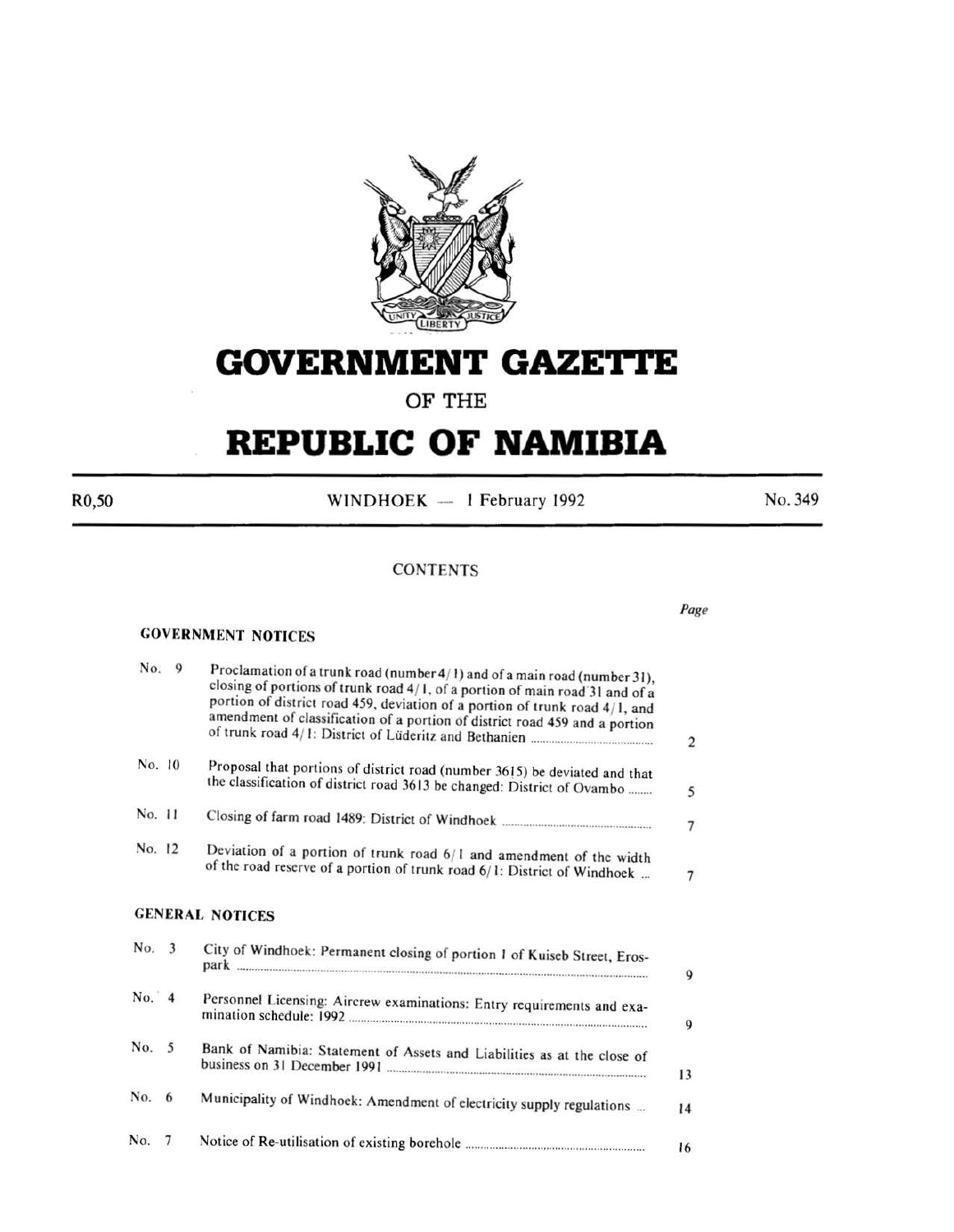

# **GOVERNMENT GAZET'tE**

**OF THE** 

# **REPUBLIC OF NAMIBIA**

R0,50

WINDHOEK - 1 February 1992

No. 349

#### **CONTENTS**

#### GOVERNMENT NOTICES

No. 9

| No.    | $\overline{9}$ | Proclamation of a trunk road (number 4/1) and of a main road (number 31),<br>closing of portions of trunk road 4/1, of a portion of main road 31 and of a<br>portion of district road 459, deviation of a portion of trunk road 4/1, and<br>amendment of classification of a portion of district road 459 and a portion | $\sqrt{2}$     |
|--------|----------------|-------------------------------------------------------------------------------------------------------------------------------------------------------------------------------------------------------------------------------------------------------------------------------------------------------------------------|----------------|
| No. 10 |                | Proposal that portions of district road (number 3615) be deviated and that<br>the classification of district road 3613 be changed: District of Ovambo                                                                                                                                                                   | 5              |
| No. 11 |                |                                                                                                                                                                                                                                                                                                                         | $\overline{7}$ |
| No. 12 |                | Deviation of a portion of trunk road 6/1 and amendment of the width<br>of the road reserve of a portion of trunk road 6/1: District of Windhoek                                                                                                                                                                         | 7              |
|        |                | <b>GENERAL NOTICES</b>                                                                                                                                                                                                                                                                                                  |                |
| No. 3  |                | City of Windhoek: Permanent closing of portion 1 of Kuiseb Street, Eros-                                                                                                                                                                                                                                                | $\mathbf Q$    |
| No. 4  |                | Personnel Licensing: Aircrew examinations: Entry requirements and exa-                                                                                                                                                                                                                                                  | 9              |
| No.    | 5              | Bank of Namibia: Statement of Assets and Liabilities as at the close of                                                                                                                                                                                                                                                 | 13             |
| No. 6  |                | Municipality of Windhoek: Amendment of electricity supply regulations                                                                                                                                                                                                                                                   | 14             |
| No.    | 7              |                                                                                                                                                                                                                                                                                                                         | 16             |

#### *Page*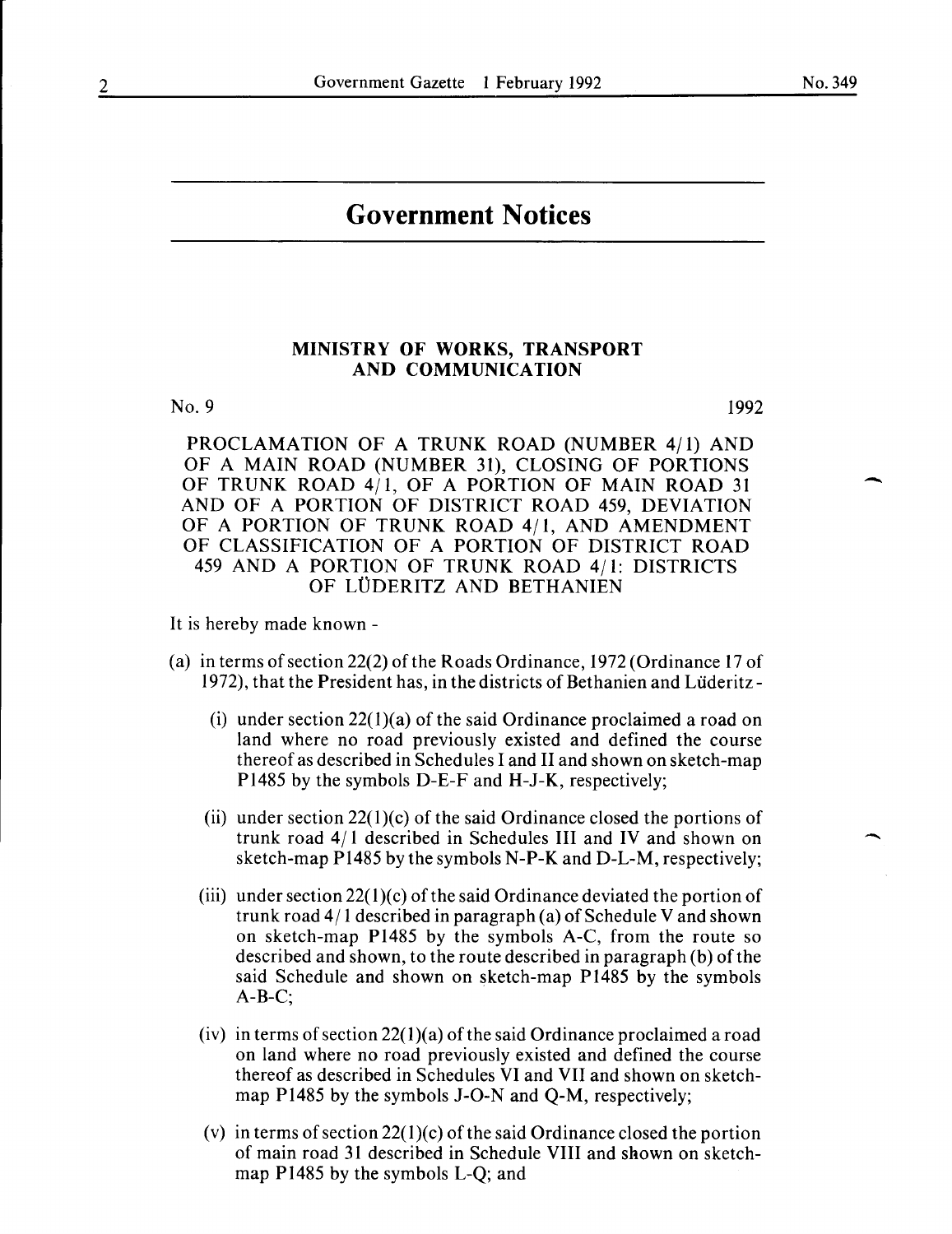-

# **Government Notices**

#### MINISTRY OF WORKS, TRANSPORT AND COMMUNICATION

No. 9

1992

PROCLAMATION OF A TRUNK ROAD (NUMBER 4/1) AND OF A MAIN ROAD (NUMBER 31), CLOSING OF PORTIONS OF TRUNK ROAD 4/1, OF A PORTION OF MAIN ROAD 31 AND OF A PORTION OF DISTRICT ROAD 459, DEVIATION OF A PORTION OF TRUNK ROAD 4/1, AND AMENDMENT OF CLASSIFICATION OF A PORTION OF DISTRICT ROAD 459 AND A PORTION OF TRUNK ROAD 4/1: DISTRICTS OF LUDERITZ AND BETHANIEN

It is hereby made known -

- (a) in terms of section 22(2) of the Roads Ordinance, 1972 (Ordinance 17 of 1972), that the President has, in the districts of Bethanien and Liideritz-
	- (i) under section  $22(1)(a)$  of the said Ordinance proclaimed a road on land where no road previously existed and defined the course thereof as described in Schedules I and II and shown on sketch-map Pl485 by the symbols D-E-F and H-J-K, respectively;
	- (ii) under section  $22(1)(c)$  of the said Ordinance closed the portions of trunk road 4/ I described in Schedules III and IV and shown on sketch-map Pl485 by the symbols N-P-K and D-L-M, respectively;
	- (iii) under section  $22(1)(c)$  of the said Ordinance deviated the portion of trunk road 4/ I described in paragraph (a) of Schedule V and shown on sketch-map Pl485 by the symbols A-C, from the route so described and shown, to the route described in paragraph (b) of the said Schedule and shown on sketch-map Pl485 by the symbols A-B-C;
	- (iv) in terms of section 22(1)(a) of the said Ordinance proclaimed a road on land where no road previously existed and defined the course thereof as described in Schedules VI and VII and shown on sketchmap Pl485 by the symbols J-0-N and Q-M, respectively;
	- (v) in terms of section  $22(1)(c)$  of the said Ordinance closed the portion of main road 31 described in Schedule VIII and shown on sketchmap Pl485 by the symbols L-Q; and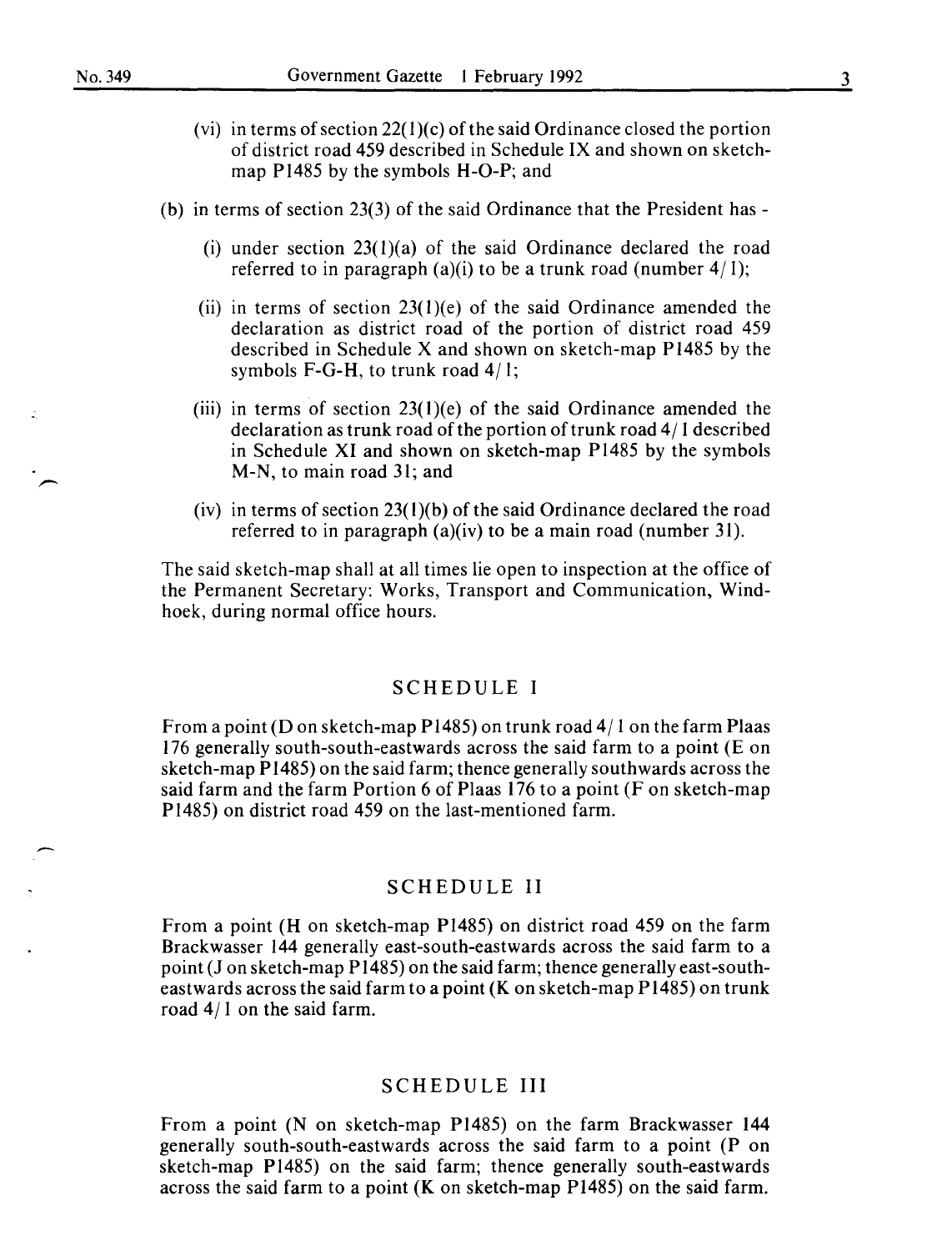- (vi) in terms of section  $22(1)(c)$  of the said Ordinance closed the portion of district road 459 described in Schedule IX and shown on sketchmap PI485 by the symbols H-0-P; and
- (b) in terms of section 23(3) of the said Ordinance that the President has-
	- (i) under section  $23(1)(a)$  of the said Ordinance declared the road referred to in paragraph (a)(i) to be a trunk road (number  $4/1$ );
	- (ii) in terms of section  $23(1)(e)$  of the said Ordinance amended the declaration as district road of the portion of district road 459 described in Schedule X and shown on sketch-map PI485 by the symbols F-G-H, to trunk road  $4/1$ ;
	- (iii) in terms of section  $23(1)(e)$  of the said Ordinance amended the declaration as trunk road of the portion of trunk road 4/ I described in Schedule XI and shown on sketch-map PI485 by the symbols M-N, to main road 3I; and
	- (iv) in terms of section  $23(1)(b)$  of the said Ordinance declared the road referred to in paragraph (a)(iv) to be a main road (number 3I).

The said sketch-map shall at all times lie open to inspection at the office of the Permanent Secretary: Works, Transport and Communication, Windhoek, during normal office hours.

#### SCHEDULE I

From a point (D on sketch-map P1485) on trunk road  $4/1$  on the farm Plaas 176 generally south-south-eastwards across the said farm to a point (E on sketch-map PI485) on the said farm; thence generally southwards across the said farm and the farm Portion 6 of Plaas I76 to a point (F on sketch-map Pl485) on district road 459 on the last-mentioned farm.

#### SCHEDULE II

From a point (H on sketch-map PI485) on district road 459 on the farm Brackwasser I44 generally east-south-eastwards across the said farm to a point (Jon sketch-map P 1485) on the said farm; thence generally east-southeastwards across the said farm to a point (K on sketch-map P I485) on trunk road 4/1 on the said farm.

#### SCHEDULE III

From a point (N on sketch-map Pl485) on the farm Brackwasser I44 generally south-south-eastwards across the said farm to a point (P on sketch-map Pl485) on the said farm; thence generally south-eastwards across the said farm to a point (K on sketch-map PI485) on the said farm.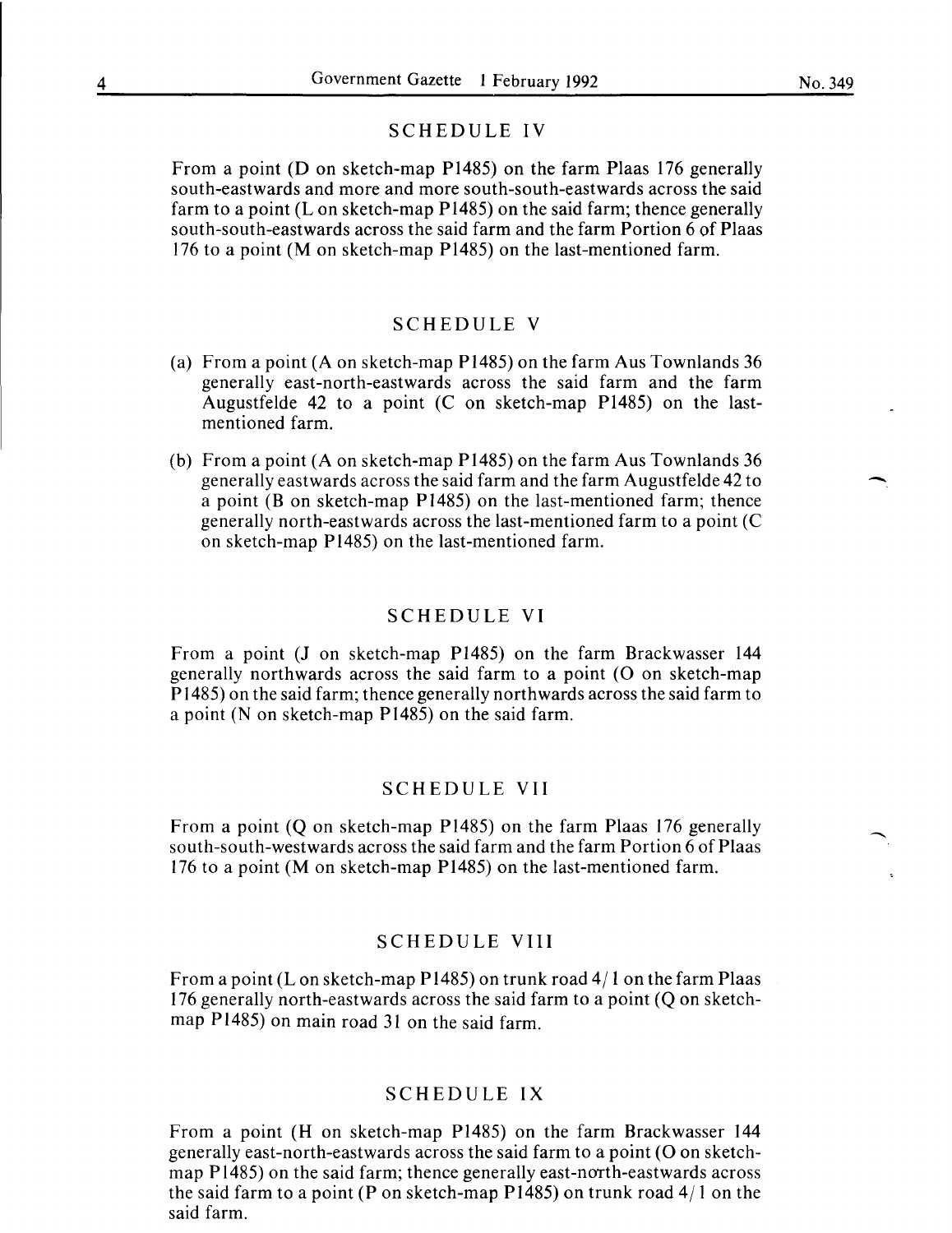#### SCHEDULE IV

From a point (D on sketch-map P1485) on the farm Plaas 176 generally south-eastwards and more and more south-south-eastwards across the said farm to a point (L on sketch-map  $P1485$ ) on the said farm; thence generally south-south-eastwards across the said farm and the farm Portion 6 of Plaas 176 to a point (M on sketch-map P1485) on the last-mentioned farm.

### SCHEDULE V

- (a) From a point (A on sketch-map P1485) on the farm Aus Townlands 36 generally east-north-eastwards across the said farm and the farm Augustfelde 42 to a point (C on sketch-map P1485) on the lastmentioned farm.
- (b) From a point (A on sketch-map P1485) on the farm Aus Townlands 36 generally eastwards across the said farm and the farm Augustfelde 42 to a point (B on sketch-map P1485) on the last-mentioned farm; thence generally north-eastwards across the last-mentioned farm to a point (C on sketch-map P1485) on the last-mentioned farm.

#### SCHEDULE VI

From a point (J on sketch-map P1485) on the farm Brackwasser 144 generally northwards across the said farm to a point (0 on sketch-map P 1485) on the said farm; thence generally northwards across the said farm to a point (N on sketch-map  $P1485$ ) on the said farm.

#### SCHEDULE VII

From a point (Q on sketch-map P1485) on the farm Plaas 176 generally south-south-westwards across the said farm and the farm Portion 6 of Plaas 176 to a point (M on sketch-map P1485) on the last-mentioned farm.

#### SCHEDULE VIII

From a point (Lon sketch-map P1485) on trunk road 4/ 1 on the farm Plaas 176 generally north-eastwards across the said farm to a point (Q on sketchmap P1485) on main road 31 on the said farm.

### SCHEDULE IX

From a point (H on sketch-map P1485) on the farm Brackwasser 144 generally east-north-eastwards across the said farm to a point (0 on sketchmap P1485) on the said farm; thence generally east-north-eastwards across the said farm to a point (P on sketch-map P1485) on trunk road 4/ 1 on the said farm.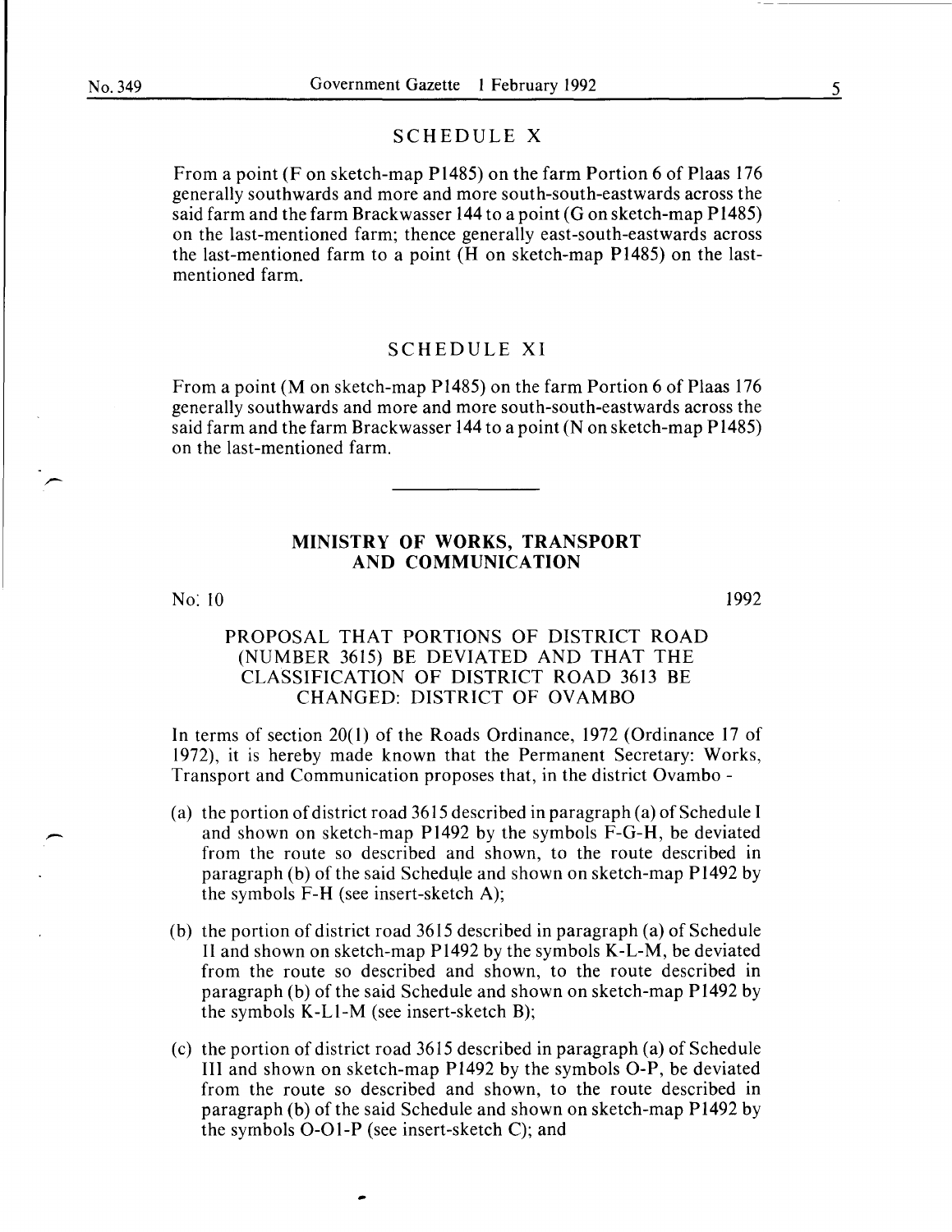#### SCHEDULE X

From a point (F on sketch-map P1485) on the farm Portion 6 of Plaas 176 generally southwards and more and more south-south-eastwards across the said farm and the farm Brackwasser 144 to a point (G on sketch-map P1485) on the last-mentioned farm; thence generally east-south-eastwards across the last-mentioned farm to a point (H on sketch-map P1485) on the lastmentioned farm.

# SCHEDULE XI

From a point (M on sketch-map P1485) on the farm Portion 6 of Plaas 176 generally southwards and more and more south-south-eastwards across the said farm and the farm Brackwasser 144 to a point (N on sketch-map P1485) on the last-mentioned farm.

#### MINISTRY OF WORKS, TRANSPORT AND COMMUNICATION

No: 10

1992

# PROPOSAL THAT PORTIONS OF DISTRICT ROAD (NUMBER 3615) BE DEVIATED AND THAT THE CLASSIFICATION OF DISTRICT ROAD 3613 BE CHANGED: DISTRICT OF OVAMBO

In terms of section 20(1) of the Roads Ordinance, 1972 (Ordinance 17 of 1972), it is hereby made known that the Permanent Secretary: Works, Transport and Communication proposes that, in the district Ovambo -

- (a) the portion of district road 3615 described in paragraph (a) of Schedule I and shown on sketch-map P1492 by the symbols F-G-H, be deviated from the route so described and shown, to the route described in paragraph (b) of the said Schedule and shown on sketch-map P1492 by the symbols F-H (see insert-sketch A);
- (b) the portion of district road 3615 described in paragraph (a) of Schedule II and shown on sketch-map P1492 by the symbols K-L-M, be deviated from the route so described and shown, to the route described in paragraph (b) of the said Schedule and shown on sketch-map P 1492 by the symbols K-LI-M (see insert-sketch B);
- (c) the portion of district road 3615 described in paragraph (a) of Schedule III and shown on sketch-map P1492 by the symbols 0-P, be deviated from the route so described and shown, to the route described in paragraph (b) of the said Schedule and shown on sketch-map P 1492 by the symbols 0-01-P (see insert-sketch C); and

5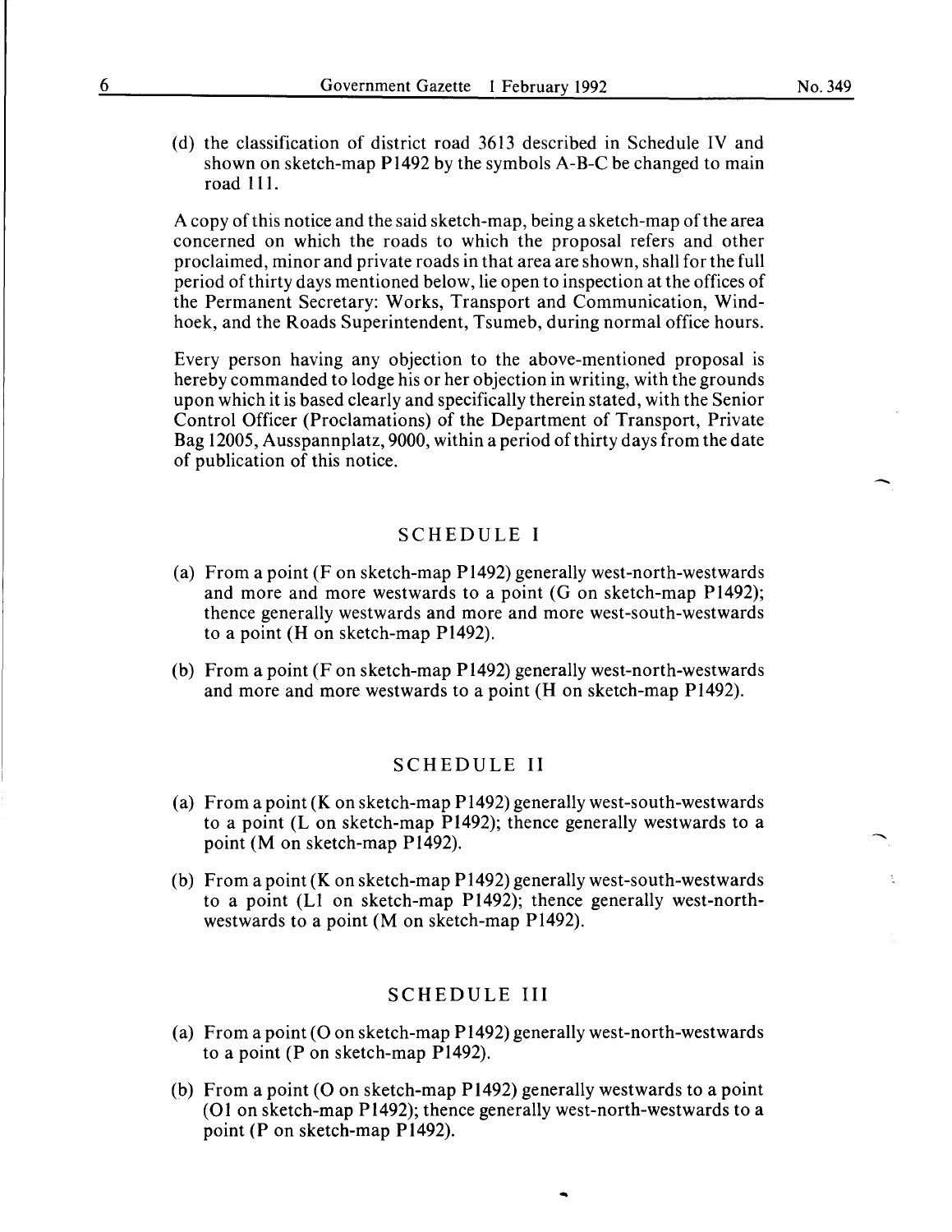(d) the classification of district road 3613 described in Schedule IV and shown on sketch-map Pl492 by the symbols A-B-C be changed to main road 111.

A copy of this notice and the said sketch-map, being a sketch-map of the area concerned on which the roads to which the proposal refers and other proclaimed, minor and private roads in that area are shown, shall for the full period of thirty days mentioned below, lie open to inspection at the offices of the Permanent Secretary: Works, Transport and Communication, Windhoek, and the Roads Superintendent, Tsumeb, during normal office hours.

Every person having any objection to the above-mentioned proposal is hereby commanded to lodge his or her objection in writing, with the grounds upon which it is based clearly and specifically therein stated, with the Senior Control Officer (Proclamations) of the Department of Transport, Private Bag 12005, Ausspannplatz, 9000, within a period of thirty days from the date of publication of this notice.

# SCHEDULE I

- (a) From a point (F on sketch-map P1492) generally west-north-westwards and more and more westwards to a point (G on sketch-map Pl492); thence generally westwards and more and more west-south-westwards to a point (H on sketch-map P1492).
- (b) From a point (F on sketch-map P1492) generally west-north-westwards and more and more westwards to a point (H on sketch-map P1492).

#### SCHEDULE II

- (a) From a point (K on sketch-map P1492) generally west-south-westwards to a point (L on sketch-map P1492); thence generally westwards to a point (M on sketch-map P1492).
- (b) From a point (K on sketch-map P1492) generally west-south-westwards to a point (L1 on sketch-map P1492); thence generally west-northwestwards to a point (M on sketch-map P1492).

### SCHEDULE III

- (a) From a point (O on sketch-map P1492) generally west-north-westwards to a point (P on sketch-map P1492).
- (b) From a point (O on sketch-map P1492) generally westwards to a point (01 on sketch-map P1492); thence generally west-north-westwards to a point (P on sketch-map P1492).

...

-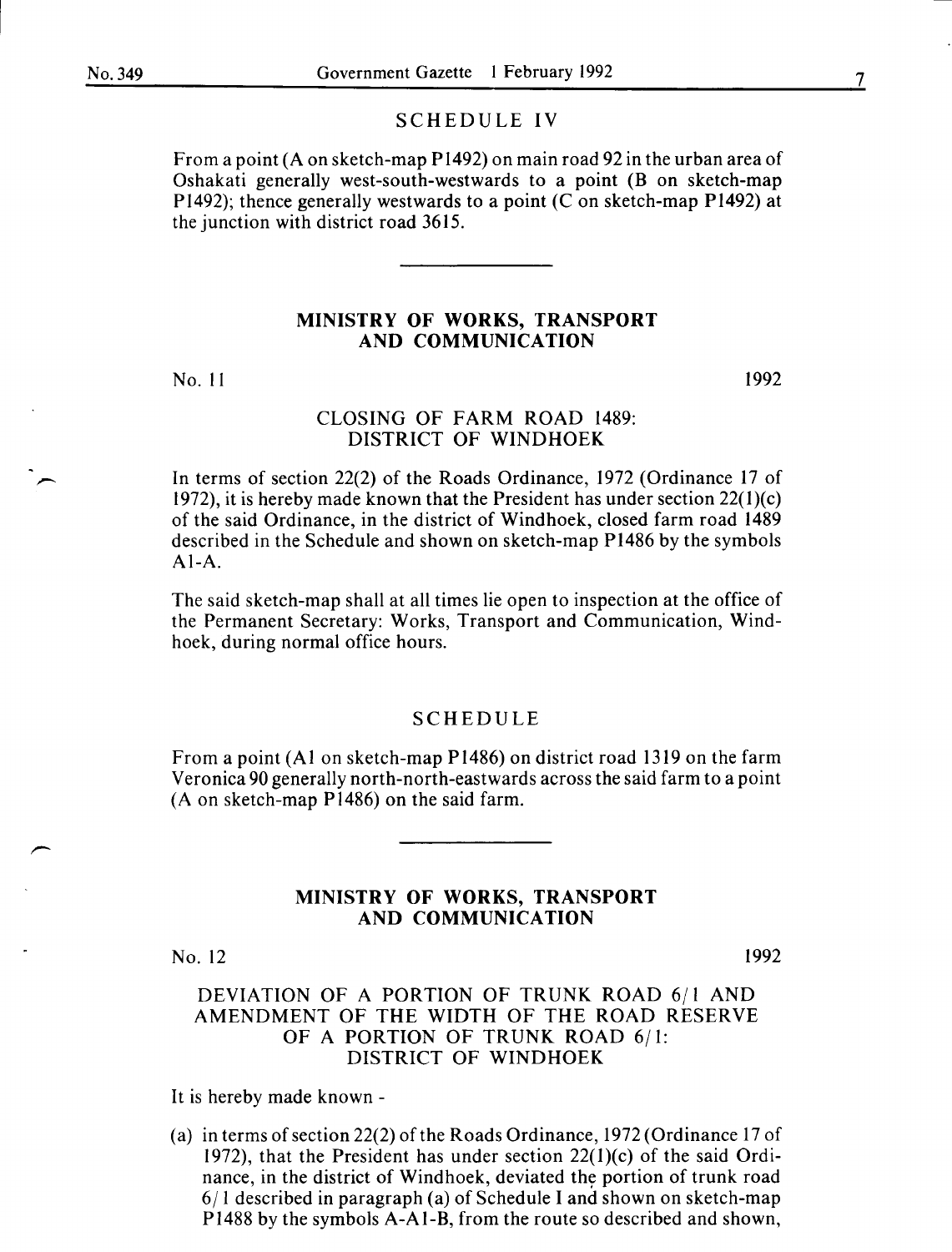#### SCHEDULE IV

From a point (A on sketch-map P1492) on main road 92 in the urban area of Oshakati generally west-south-westwards to a point (B on sketch-map P1492); thence generally westwards to a point  $(C \text{ on sketch-map } P1492)$  at the junction with district road 3615.

#### MINISTRY OF WORKS, TRANSPORT AND COMMUNICATION

No. II

1992

#### CLOSING OF FARM ROAD 1489: DISTRICT OF WINDHOEK

In terms of section 22(2) of the Roads Ordinance, 1972 (Ordinance 17 of 1972), it is hereby made known that the President has under section  $22(1)(c)$ of the said Ordinance, in the district of Windhoek, closed farm road 1489 described in the Schedule and shown on sketch-map P1486 by the symbols Al-A.

The said sketch-map shall at all times lie open to inspection at the office of the Permanent Secretary: Works, Transport and Communication, Windhoek, during normal office hours.

#### SCHEDULE

From a point (AI on sketch-map P1486) on district road 1319 on the farm Veronica 90 generally north-north-eastwards across the said farm to a point (A on sketch-map Pl486) on the said farm.

#### MINISTRY OF WORKS, TRANSPORT AND COMMUNICATION

No. 12

1992

## DEVIATION OF A PORTION OF TRUNK ROAD 6/l AND AMENDMENT OF THE WIDTH OF THE ROAD RESERVE OF A PORTION OF TRUNK ROAD 6/1: DISTRICT OF WINDHOEK

It is hereby made known-

(a) in terms of section 22(2) of the Roads Ordinance, 1972 (Ordinance 17 of 1972), that the President has under section  $22(1)(c)$  of the said Ordinance, in the district of Windhoek, deviated the portion of trunk road  $6/1$  described in paragraph (a) of Schedule I and shown on sketch-map Pl488 by the symbols A-Al-B, from the route so described and shown,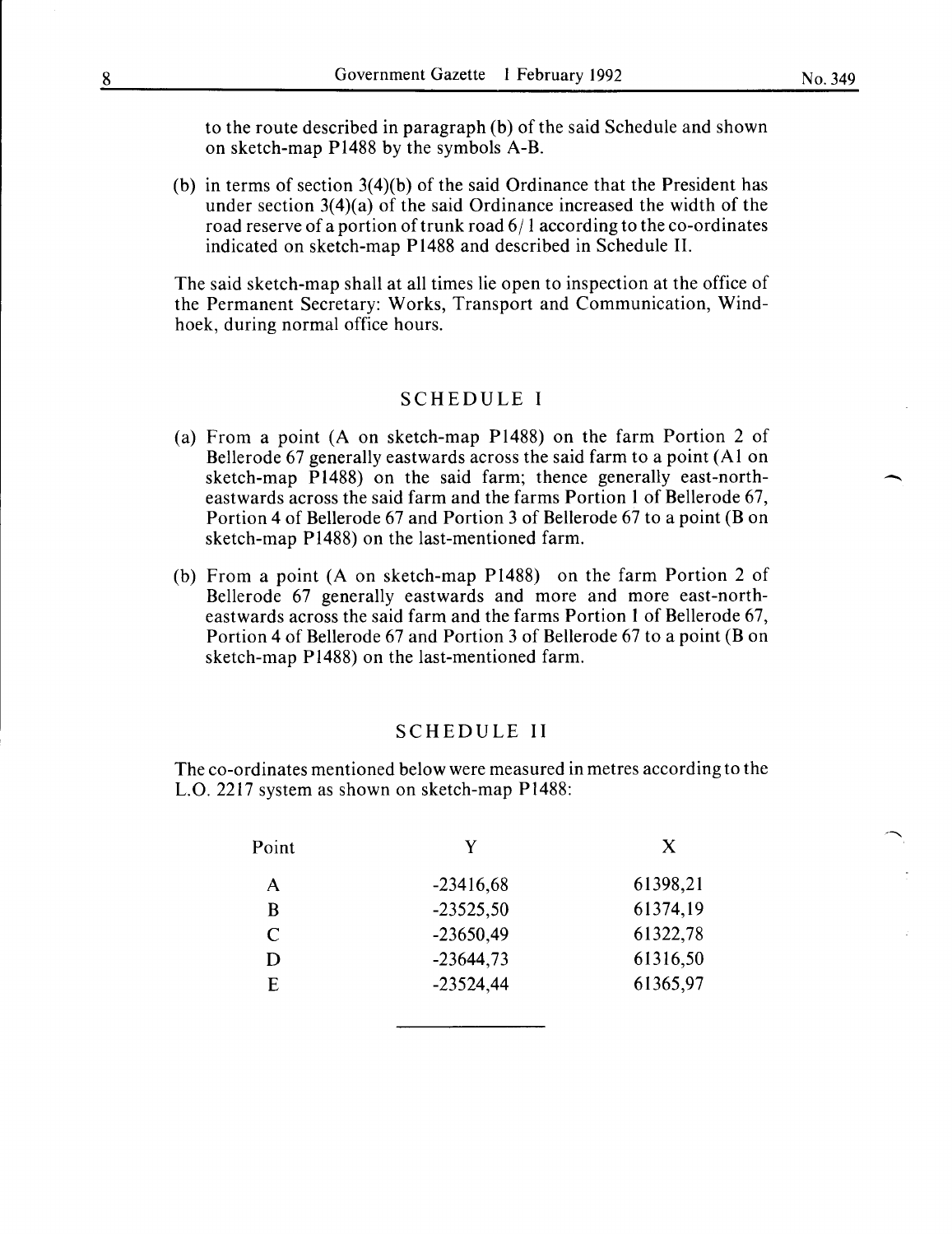to the route described in paragraph (b) of the said Schedule and shown on sketch-map Pl488 by the symbols A-B.

(b) in terms of section 3(4)(b) of the said Ordinance that the President has under section 3(4)(a) of the said Ordinance increased the width of the road reserve of a portion of trunk road 6/1 according to the co-ordinates indicated on sketch-map Pl488 and described in Schedule II.

The said sketch-map shall at all times lie open to inspection at the office of the Permanent Secretary: Works, Transport and Communication, Windhoek, during normal office hours.

#### SCHEDULE I

- (a) From a point (A on sketch-map Pl488) on the farm Portion 2 of Bellerode 67 generally eastwards across the said farm to a point (AI on sketch-map Pl488) on the said farm; thence generally east-northeastwards across the said farm and the farms Portion 1 of Bellerode 67, Portion 4 of Bellerode 67 and Portion 3 of Bellerode 67 to a point (B on sketch-map Pl488) on the last-mentioned farm.
- (b) From a point (A on sketch-map Pl488) on the farm Portion 2 of Bellerode 67 generally eastwards and more and more east-northeastwards across the said farm and the farms Portion 1 of Bellerode 67, Portion 4 of Bellerode 67 and Portion 3 of Bellerode 67 to a point (B on sketch-map Pl488) on the last-mentioned farm.

#### SCHEDULE II

The co-ordinates mentioned below were measured in metres according to the L.O. 2217 system as shown on sketch-map Pl488:

| Point                       | Y           | X        |
|-----------------------------|-------------|----------|
| А                           | $-23416,68$ | 61398,21 |
| B                           | $-23525,50$ | 61374,19 |
| $\mathcal{C}_{\mathcal{C}}$ | $-23650,49$ | 61322,78 |
| D                           | $-23644,73$ | 61316,50 |
| F.                          | $-23524,44$ | 61365,97 |
|                             |             |          |

-

 $\overline{\phantom{a}}$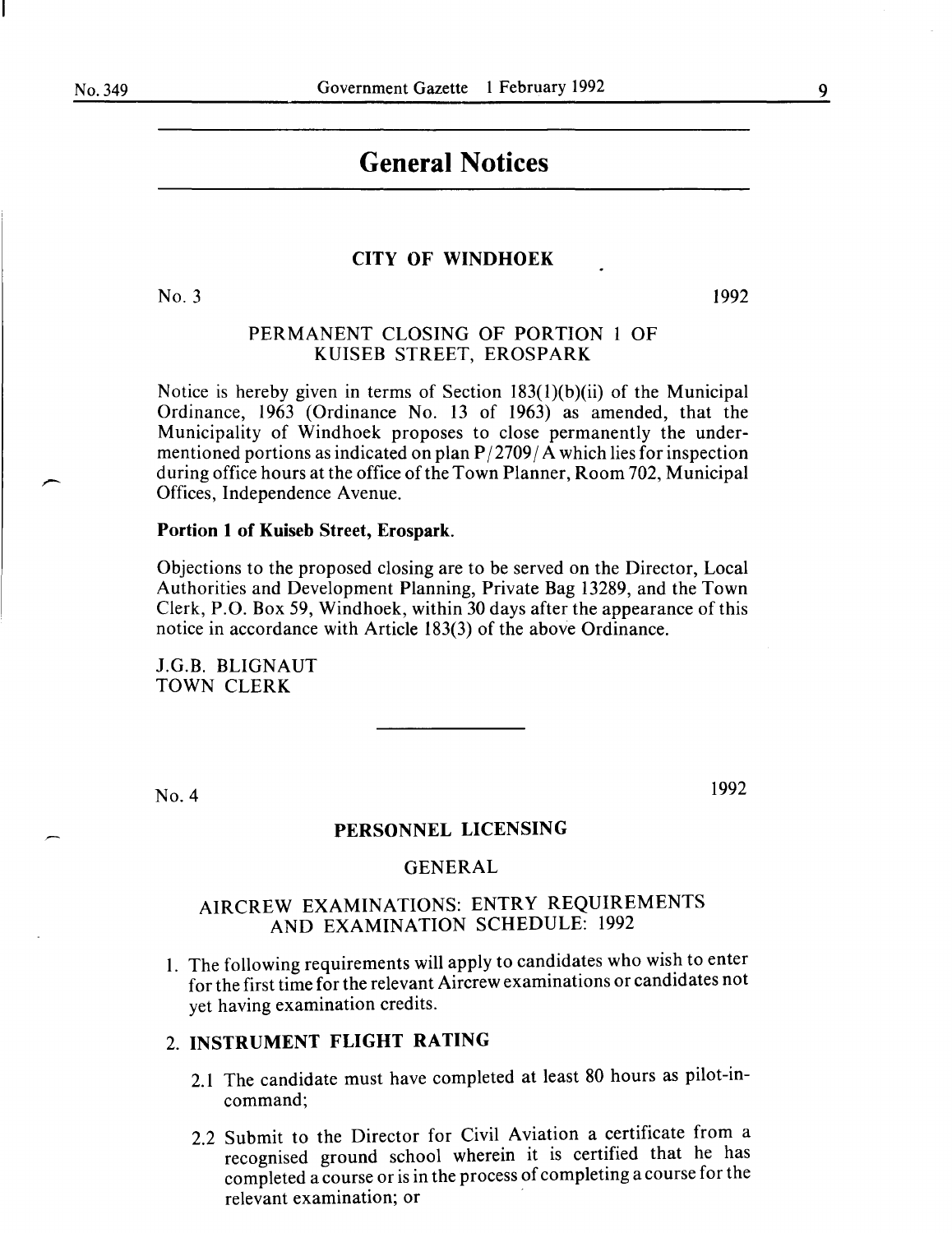#### 9

# **General Notices**

#### **CITY OF' WINDHOEK**

No.3

1992

#### PERMANENT CLOSING OF PORTION 1 OF KUISEB STREET, EROSPARK

Notice is hereby given in terms of Section 183(l)(b)(ii) of the Municipal Ordinance, 1963 (Ordinance No. 13 of 1963) as amended, that the Municipality of Windhoek proposes to close permanently the undermentioned portions as indicated on plan  $P/2709/A$  which lies for inspection during office hours at the office of the Town Planner, Room 702, Municipal Offices, Independence A venue.

#### **Portion 1 of Kuiseb Street, Erospark.**

Objections to the proposed closing are to be served on the Director, Local Authorities and Development Planning, Private Bag 13289, and the Town Clerk, P.O. Box 59, Windhoek, within 30 days after the appearance of this notice in accordance with Article 183(3) of the above Ordinance.

J.G.B. BLIGNAUT TOWN CLERK

No.4

1992

### **PERSONNEL LICENSING**

#### GENERAL

# AIRCREW EXAMINATIONS: ENTRY REQUIREMENTS AND EXAMINATION SCHEDULE: 1992

1. The following requirements will apply to candidates who wish to enter for the first time for the relevant Aircrew examinations or candidates not yet having examination credits.

#### 2. **INSTRUMENT FLIGHT RATING**

- 2.1 The candidate must have completed at least 80 hours as pilot-incommand;
- 2.2 Submit to the Director for Civil Aviation a certificate from a recognised ground school wherein it is certified that he has completed a course or is in the process of completing a course for the relevant examination; or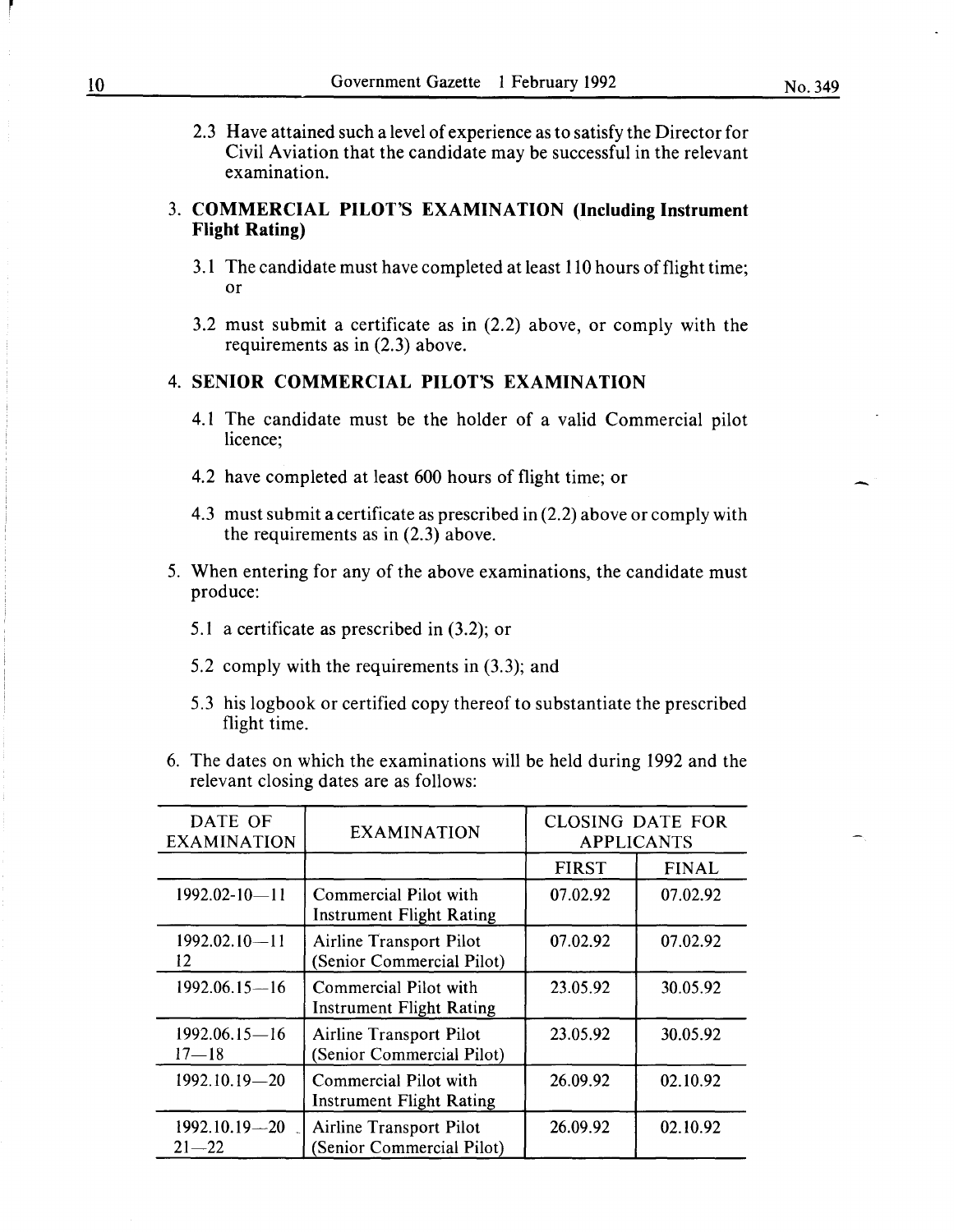2.3 Have attained such a level of experience as to satisfy the Director for Civil Aviation that the candidate may be successful in the relevant examination.

# 3. **COMMERCIAL PILOT'S EXAMINATION (Including Instrument Flight Rating)**

- 3.1 The candidate must have completed at least 110 hours of flight time; or
- 3.2 must submit a certificate as in (2.2) above, or comply with the requirements as in (2.3) above.

# **4. SENIOR COMMERCIAL PILOT'S EXAMINATION**

- 4.1 The candidate must be the holder of a valid Commercial pilot licence;
- 4.2 have completed at least 600 hours of flight time; or
- 4.3 must submit a certificate as prescribed in (2.2) above or comply with the requirements as in (2.3) above.
- 5. When entering for any of the above examinations, the candidate must produce:
	- 5.1 a certificate as prescribed in (3.2); or
	- 5.2 comply with the requirements in (3.3); and
	- 5.3 his logbook or certified copy thereof to substantiate the prescribed flight time.
- 6. The dates on which the examinations will be held during 1992 and the relevant closing dates are as follows:

| DATE OF<br><b>EXAMINATION</b>  | <b>EXAMINATION</b>                                          | <b>CLOSING DATE FOR</b><br><b>APPLICANTS</b> |              |
|--------------------------------|-------------------------------------------------------------|----------------------------------------------|--------------|
|                                |                                                             | <b>FIRST</b>                                 | <b>FINAL</b> |
| $1992.02 - 10 - 11$            | Commercial Pilot with<br><b>Instrument Flight Rating</b>    | 07.02.92                                     | 07.02.92     |
| 1992.02.10-11<br>12.           | Airline Transport Pilot<br>(Senior Commercial Pilot)        | 07.02.92                                     | 07.02.92     |
| $1992.06.15 - 16$              | Commercial Pilot with<br><b>Instrument Flight Rating</b>    | 23.05.92                                     | 30.05.92     |
| $1992.06.15 - 16$<br>$17 - 18$ | <b>Airline Transport Pilot</b><br>(Senior Commercial Pilot) | 23.05.92                                     | 30.05.92     |
| $1992.10.19 - 20$              | Commercial Pilot with<br><b>Instrument Flight Rating</b>    | 26.09.92                                     | 02.10.92     |
| $1992.10.19 - 20$<br>$21 - 22$ | Airline Transport Pilot<br>(Senior Commercial Pilot)        | 26.09.92                                     | 02.10.92     |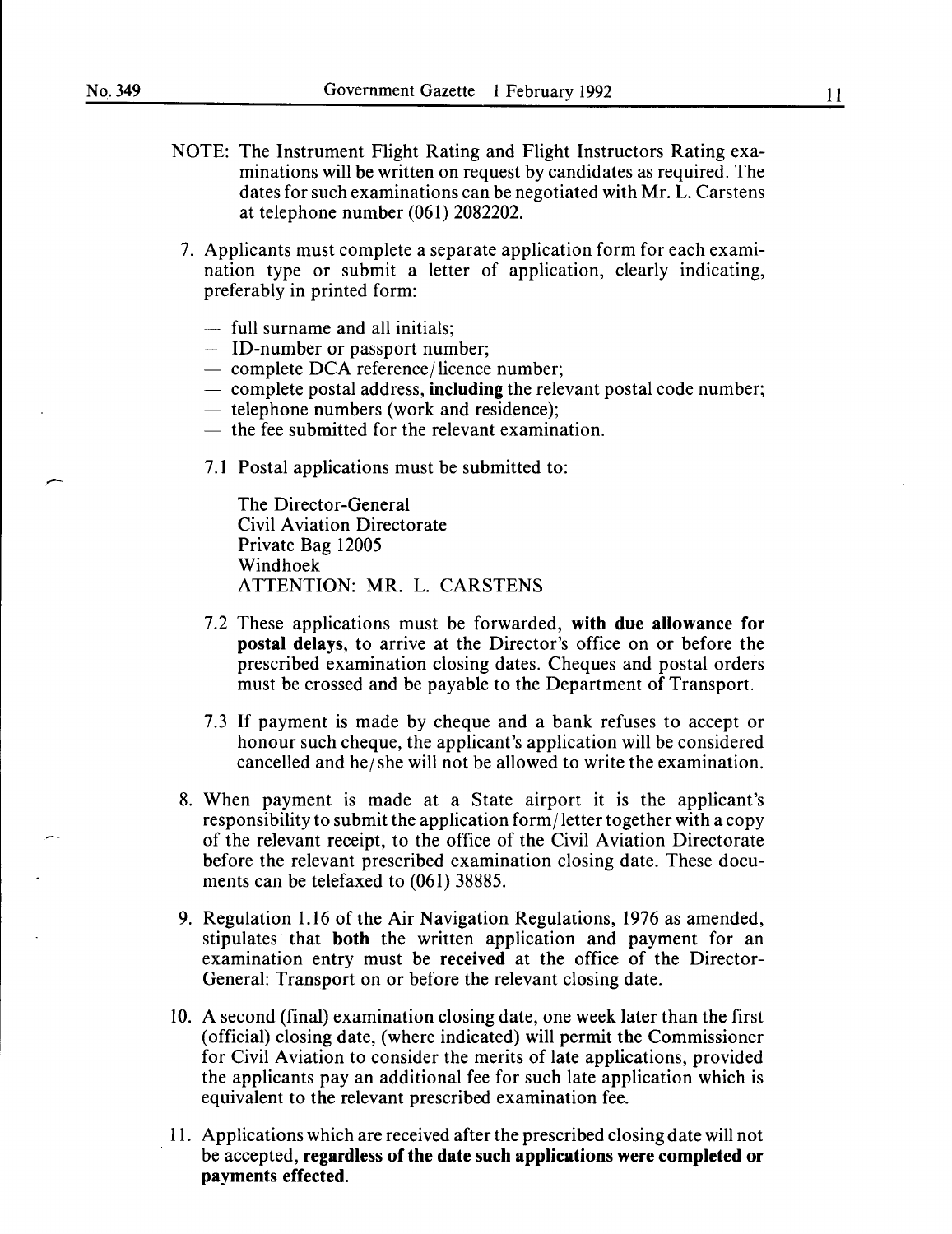- NOTE: The Instrument Flight Rating and Flight Instructors Rating examinations will be written on request by candidates as required. The dates for such examinations can be negotiated with Mr. L. Carstens at telephone number (061) 2082202.
- 7. Applicants must complete a separate application form for each examination type or submit a letter of application, clearly indicating, preferably in printed form:
	- full surname and all initials;
	- ID-number or passport number;
	- $-$  complete DCA reference/licence number;
	- $-$  complete postal address, including the relevant postal code number;
	- telephone numbers (work and residence);
	- $-$  the fee submitted for the relevant examination.
	- 7.1 Postal applications must be submitted to:

The Director-General Civil Aviation Directorate Private Bag 12005 Windhoek ATTENTION: MR. L. CARSTENS

- 7.2 These applications must be forwarded, with due allowance for postal delays, to arrive at the Director's office on or before the prescribed examination closing dates. Cheques and postal orders must be crossed and be payable to the Department of Transport.
- 7.3 If payment is made by cheque and a bank refuses to accept or honour such cheque, the applicant's application will be considered cancelled and he/ she will not be allowed to write the examination.
- 8. When payment is made at a State airport it is the applicant's responsibility to submit the application form/ letter together with a copy of the relevant receipt, to the office of the Civil Aviation Directorate before the relevant prescribed examination closing date. These documents can be telefaxed to (061) 38885.
- 9. Regulation 1.16 of the Air Navigation Regulations, 1976 as amended, stipulates that both the written application and payment for an examination entry must be received at the office of the Director-General: Transport on or before the relevant closing date.
- 10. A second (final) examination closing date, one week later than the first (official) closing date, (where indicated) will permit the Commissioner for Civil Aviation to consider the merits of late applications, provided the applicants pay an additional fee for such late application which is equivalent to the relevant prescribed examination fee.
- 11. Applications which are received after the prescribed closing date will not be accepted, regardless of the date such applications were completed or payments effected.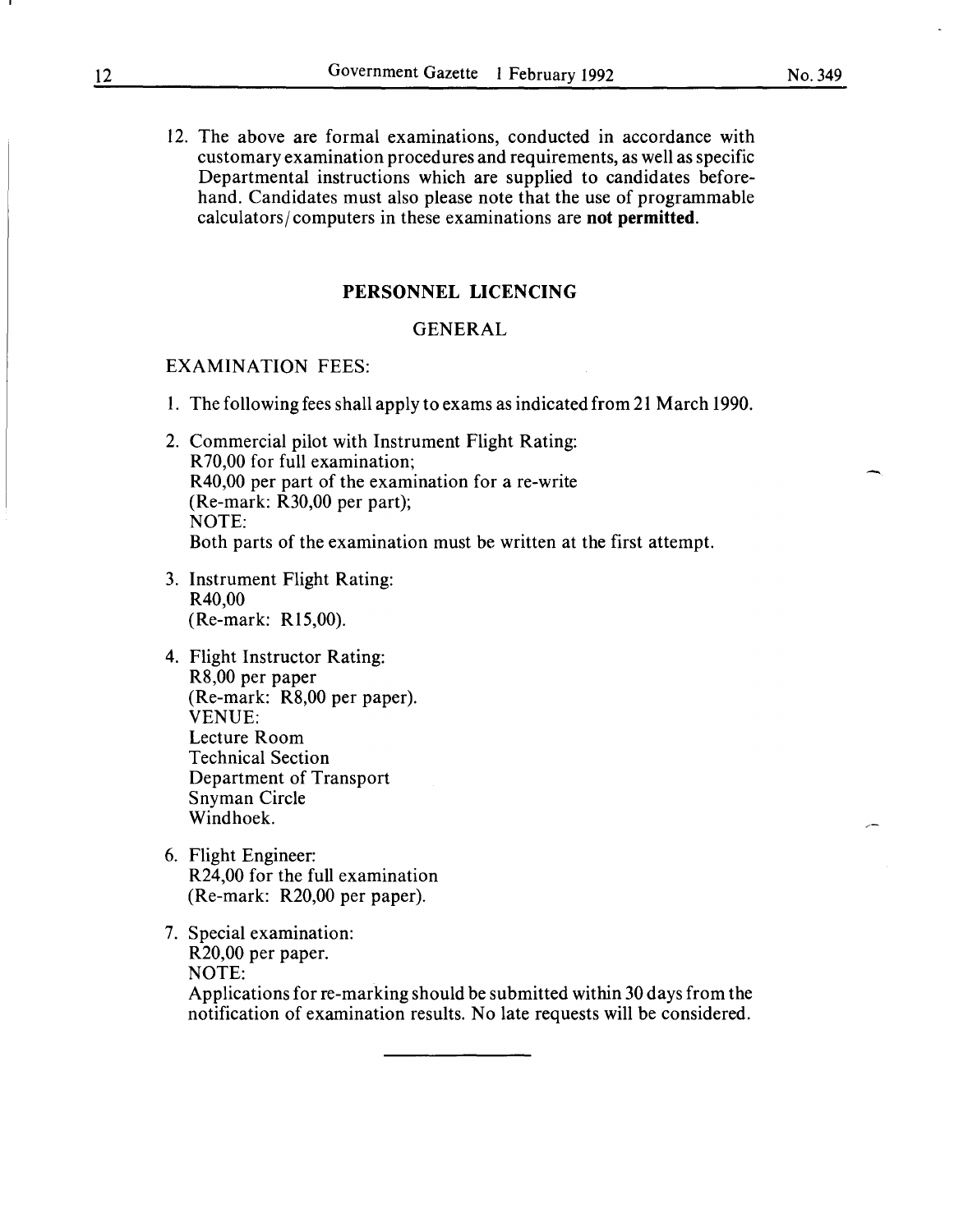12. The above are formal examinations, conducted in accordance with customary examination procedures and requirements, as well as specific Departmental instructions which are supplied to candidates beforehand. Candidates must also please note that the use of programmable calculators/ computers in these examinations are **not permitted.** 

#### **PERSONNEL LICENCING**

#### **GENERAL**

#### EXAMINATION FEES:

- I. The following fees shall apply to exams as indicated from 21 March 1990.
- 2. Commercial pilot with Instrument Flight Rating: R 70,00 for full examination; R40,00 per part of the examination for a re-write (Re-mark: R30,00 per part); NOTE: Both parts of the examination must be written at the first attempt.
- 3. Instrument Flight Rating: R40,00 (Re-mark: R15,00).
- 4. Flight Instructor Rating: R8,00 per paper (Re-mark: R8,00 per paper). VENUE: Lecture Room Technical Section Department of Transport Snyman Circle Windhoek.
- 6. Flight Engineer: R24,00 for the full examination (Re-mark: R20,00 per paper).
- 7. Special examination: R20,00 per paper. NOTE: Applications for re-marking should be submitted within 30 days from the notification of examination results. No late requests will be considered.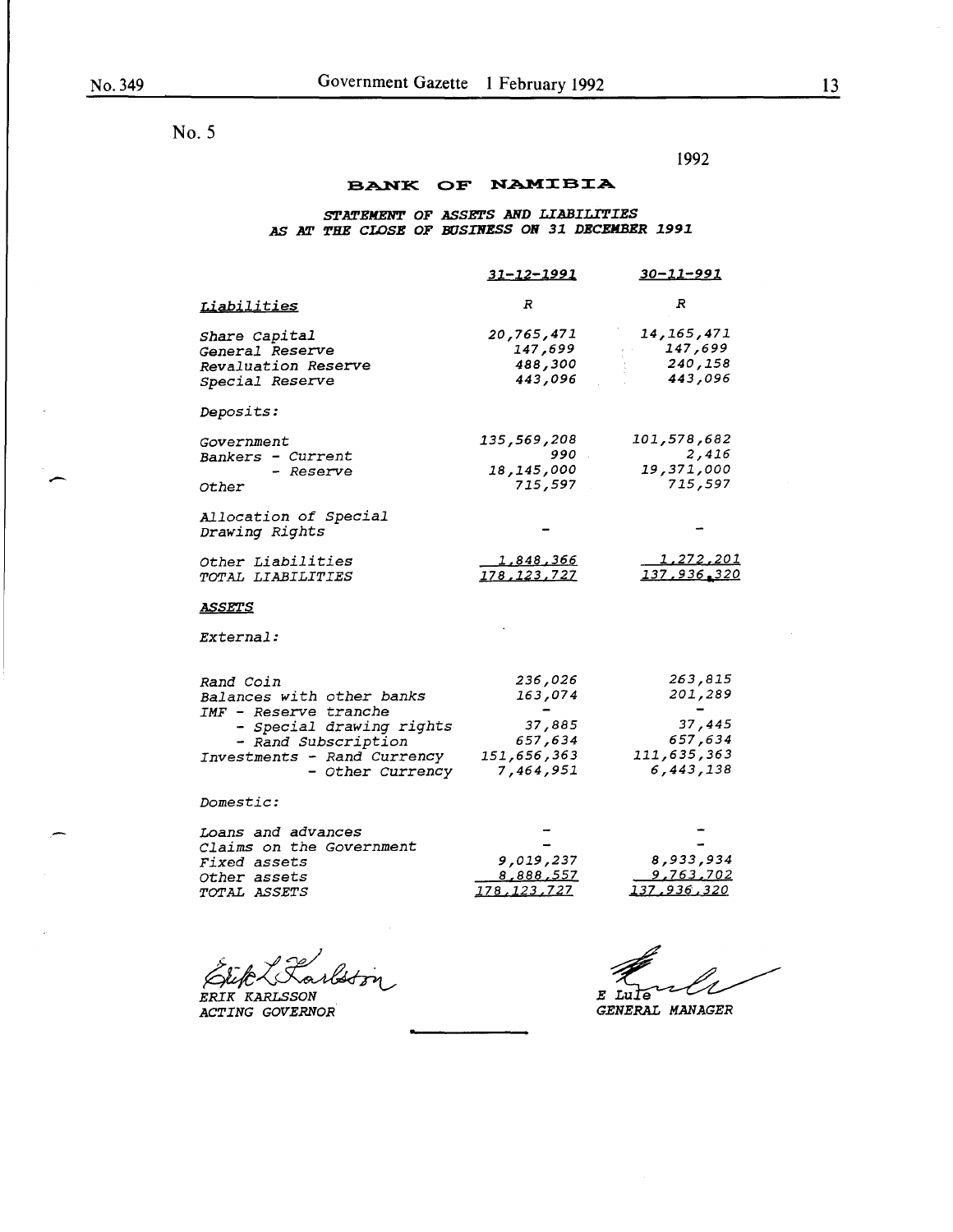$\overline{\phantom{a}}$ 

No. 5

1992

### BANK OF NAMIBIA

#### *S'l'ATEIIENT OF ASSETS AND LIABILITIES AS AT THE CLOSE OF BUSINESS ON 31 DECEMBER 1991*

|                                                                                                                                                                       | $31 - 12 - 1991$                                                    | <u>30-11-991</u>                                                    |
|-----------------------------------------------------------------------------------------------------------------------------------------------------------------------|---------------------------------------------------------------------|---------------------------------------------------------------------|
| <u>Liabilities</u>                                                                                                                                                    | R                                                                   | R                                                                   |
| Share Capital<br><i>General Reserve</i><br>Revaluation Reserve<br>Special Reserve                                                                                     | 20,765,471<br>147,699<br>488,300<br>443,096                         | 14, 165, 471<br>147,699<br>240,158<br>443,096                       |
| <i>Deposits:</i>                                                                                                                                                      |                                                                     |                                                                     |
| <i>Government</i><br>Bankers - Current<br>- Reserve<br>Other                                                                                                          | 135,569,208<br>990<br>18,145,000<br>715,597                         | 101,578,682<br>2,416<br>19,371,000<br>715,597                       |
| Allocation of Special<br>Drawing Rights                                                                                                                               |                                                                     |                                                                     |
| <i>Other Liabilities</i><br>TOTAL LIABILITIES                                                                                                                         | 1,848,366<br>178, 123, 727                                          | <u>1,272,201</u><br>137,936,320                                     |
| <u>ASSETS</u>                                                                                                                                                         |                                                                     |                                                                     |
| <i>External:</i>                                                                                                                                                      |                                                                     |                                                                     |
| Rand Coin<br>Balances with other banks<br>IMF - Reserve tranche<br>- Special drawing rights<br>- Rand Subscription<br>Investments - Rand Currency<br>- Other Currency | 236,026<br>163,074<br>37,885<br>657,634<br>151,656,363<br>7,464,951 | 263,815<br>201,289<br>37,445<br>657,634<br>111,635,363<br>6,443,138 |
| <i>Domestic:</i>                                                                                                                                                      |                                                                     |                                                                     |
| <i>Loans and advances</i><br><i>Claims on the Government</i><br><i>Fixed assets</i><br><i>Other assets</i><br><i>TOTAL ASSETS</i>                                     | 9,019,237<br>8,888,557<br><u>178,123,727</u>                        | 8,933,934<br>9,763,702<br><u>137,936,320</u>                        |

ERIK Karlst*on* 

*ACTING GOVERNOR* 

*GENERAL MANAGER*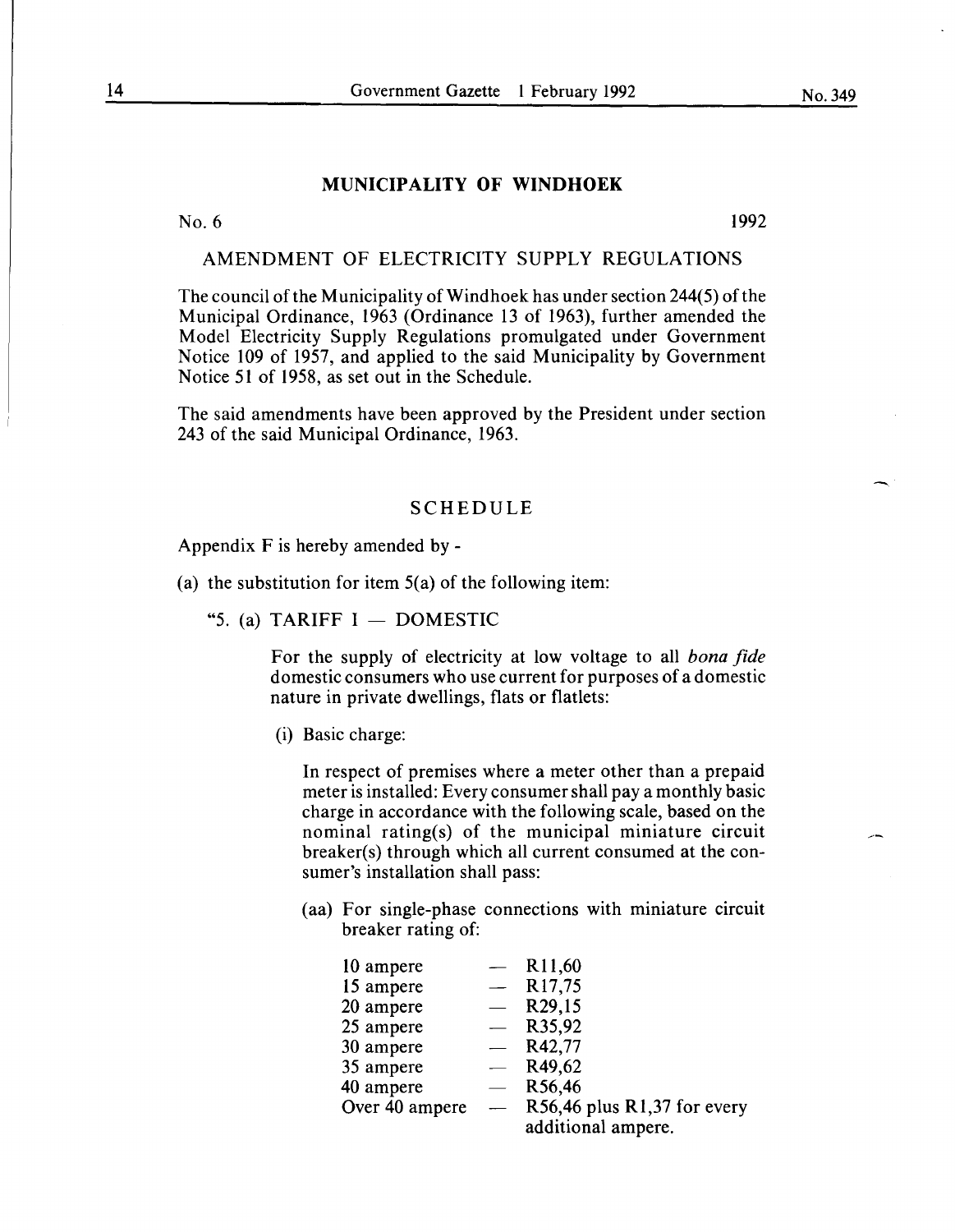#### **MUNICIPALITY OF WINDHOEK**

No. 6 1992

#### AMENDMENT OF ELECTRICITY SUPPLY REGULATIONS

The council of the Municipality of Windhoek has under section 244(5) of the Municipal Ordinance, 1963 (Ordinance 13 of 1963), further amended the Model Electricity Supply Regulations promulgated under Government Notice 109 of 1957, and applied to the said Municipality by Government Notice 51 of 1958, as set out in the Schedule.

The said amendments have been approved by the President under section 243 of the said Municipal Ordinance, 1963.

#### SCHEDULE

Appendix F is hereby amended by -

(a) the substitution for item  $5(a)$  of the following item:

"5. (a) TARIFF  $I -$  DOMESTIC

For the supply of electricity at low voltage to all *bona fide*  domestic consumers who use current for purposes of a domestic nature in private dwellings, flats or flatlets:

(i) Basic charge:

In respect of premises where a meter other than a prepaid meter is installed: Every consumer shall pay a monthly basic charge in accordance with the following scale, based on the nominal rating(s) of the municipal miniature circuit breaker(s) through which all current consumed at the consumer's installation shall pass:

(aa) For single-phase connections with miniature circuit breaker rating of:

| 10 ampere      | R <sub>11</sub> ,60         |
|----------------|-----------------------------|
| 15 ampere      | R <sub>17,75</sub>          |
| 20 ampere      | R <sub>29</sub> ,15         |
| 25 ampere      | R35,92                      |
| 30 ampere      | R42,77                      |
| 35 ampere      | R49,62                      |
| 40 ampere      | R56,46                      |
| Over 40 ampere | R56,46 plus R1,37 for every |
|                | additional ampere.          |
|                |                             |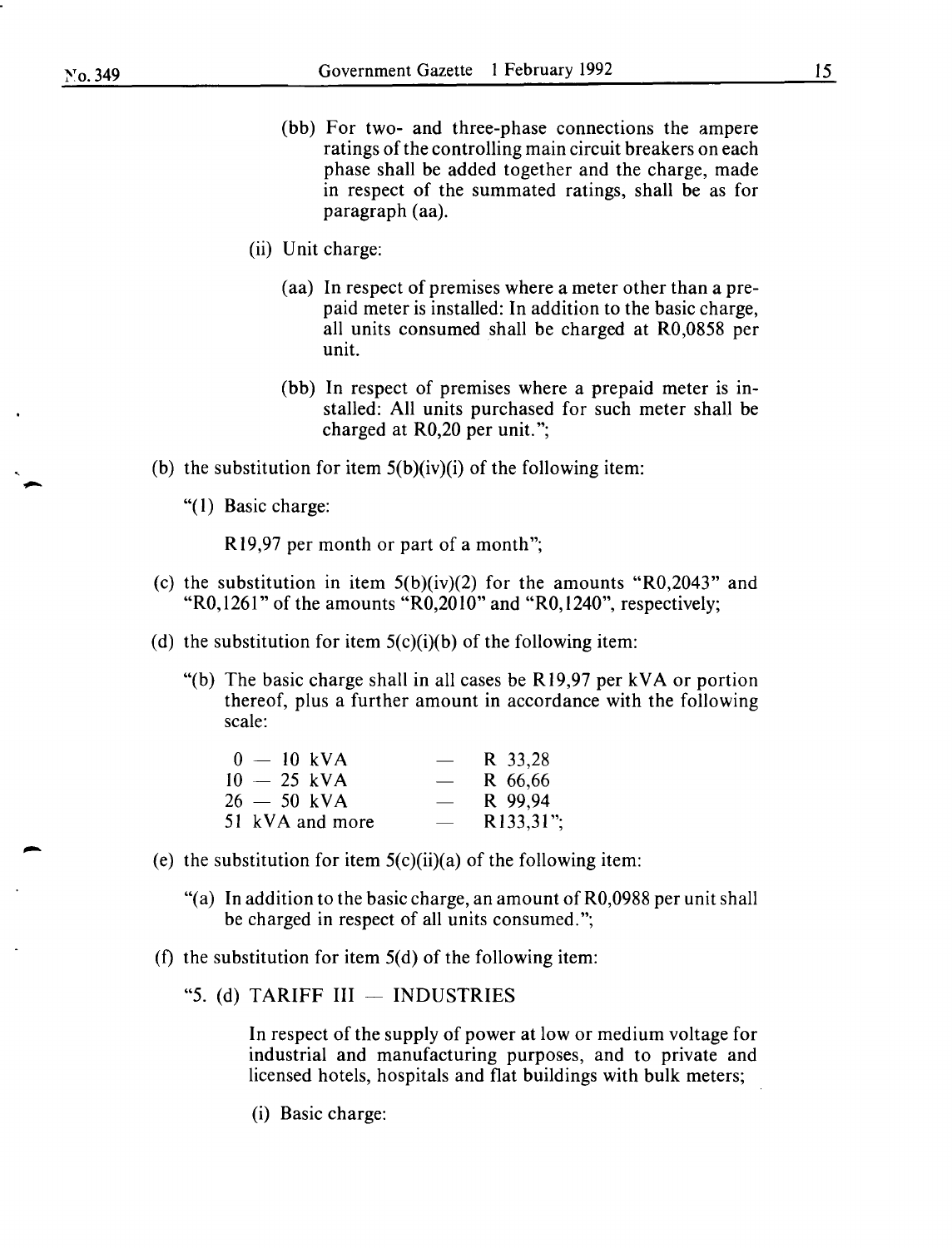- (bb) For two- and three-phase connections the ampere ratings of the controlling main circuit breakers on each phase shall be added together and the charge, made in respect of the summated ratings, shall be as for paragraph (aa).
- (ii) Unit charge:
	- (aa) In respect of premises where a meter other than a prepaid meter is installed: In addition to the basic charge, all units consumed shall be charged at R0,0858 per unit.
	- (bb) In respect of premises where a prepaid meter is installed: All units purchased for such meter shall be charged at R0,20 per unit.";
- (b) the substitution for item  $5(b)(iv)(i)$  of the following item:
	- "(I) Basic charge:

Rl9,97 per month or part of a month";

- (c) the substitution in item  $5(b)(iv)(2)$  for the amounts "R0,2043" and "R0,1261" of the amounts "R0,2010" and "R0,1240", respectively;
- (d) the substitution for item  $5(c)(i)(b)$  of the following item:
	- "(b) The basic charge shall in all cases be Rl9,97 per kVA or portion thereof, plus a further amount in accordance with the following scale:

| $\overline{\phantom{a}}$ | R 33.28                 |
|--------------------------|-------------------------|
| $\overline{\phantom{0}}$ | R 66,66                 |
| $\overline{\phantom{a}}$ | R 99,94                 |
|                          | R <sub>133</sub> , 31"; |
|                          |                         |

- (e) the substitution for item  $5(c)(ii)(a)$  of the following item:
	- "(a) In addition to the basic charge, an amount of R0,0988 per unit shall be charged in respect of all units consumed.";
- (f) the substitution for item  $5(d)$  of the following item:
	- "5. (d) TARIFF  $III INDUSTRIES$

In respect of the supply of power at low or medium voltage for industrial and manufacturing purposes, and to private and licensed hotels, hospitals and flat buildings with bulk meters;

(i) Basic charge: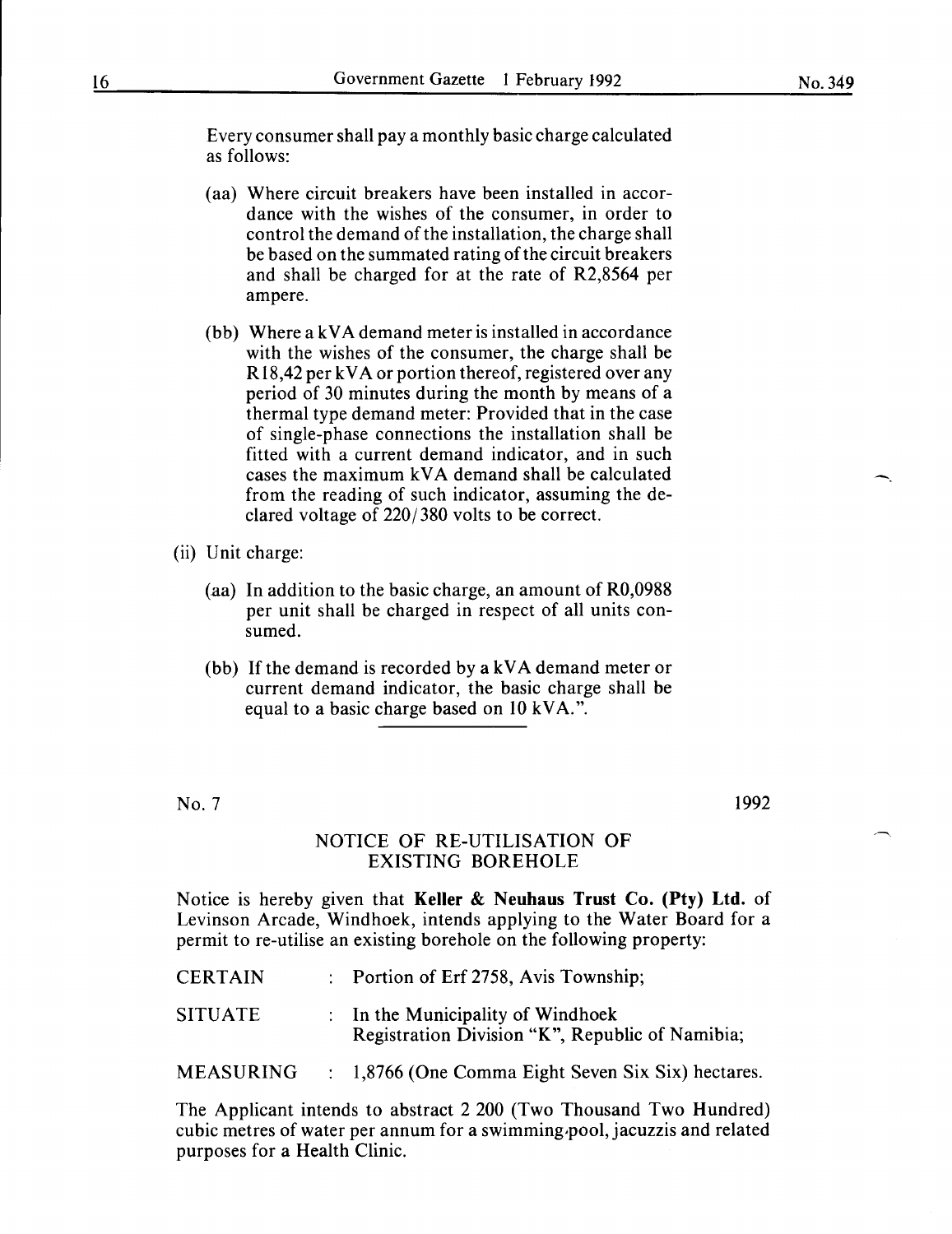-.

Every consumer shall pay a monthly basic charge calculated as follows:

- ( aa) Where circuit breakers have been installed in accordance with the wishes of the consumer, in order to control the demand of the installation, the charge shall be based on the summated rating of the circuit breakers and shall be charged for at the rate of R2,8564 per ampere.
- (bb) Where a k VA demand meter is installed in accordance with the wishes of the consumer, the charge shall be R 18,42 per kVA or portion thereof, registered over any period of 30 minutes during the month by means of a thermal type demand meter: Provided that in the case of single-phase connections the installation shall be fitted with a current demand indicator, and in such cases the maximum kVA demand shall be calculated from the reading of such indicator, assuming the declared voltage of 220/380 volts to be correct.
- (ii) Unit charge:
	- (aa) In addition to the basic charge, an amount of R0,0988 per unit shall be charged in respect of all units consumed.
	- (bb) If the demand is recorded by a k VA demand meter or current demand indicator, the basic charge shall be equal to a basic charge based on 10 kVA.".

No.7

1992

## NOTICE OF RE-UTILISATION OF EXISTING BOREHOLE

Notice is hereby given that **Keller & Neuhaus Trust** Co. **(Pty) Ltd.** of Levinson Arcade, Windhoek, intends applying to the Water Board for a permit to re-utilise an existing borehole on the following property:

| <b>CERTAIN</b>   | : Portion of Erf 2758, Avis Township;                                                |
|------------------|--------------------------------------------------------------------------------------|
| <b>SITUATE</b>   | : In the Municipality of Windhoek<br>Registration Division "K", Republic of Namibia; |
| <b>MEASURING</b> | : 1,8766 (One Comma Eight Seven Six Six) hectares.                                   |

The Applicant intends to abstract 2 200 (Two Thousand Two Hundred) cubic metres of water per annum for a swimming.pool, jacuzzis and related purposes for a Health Clinic.